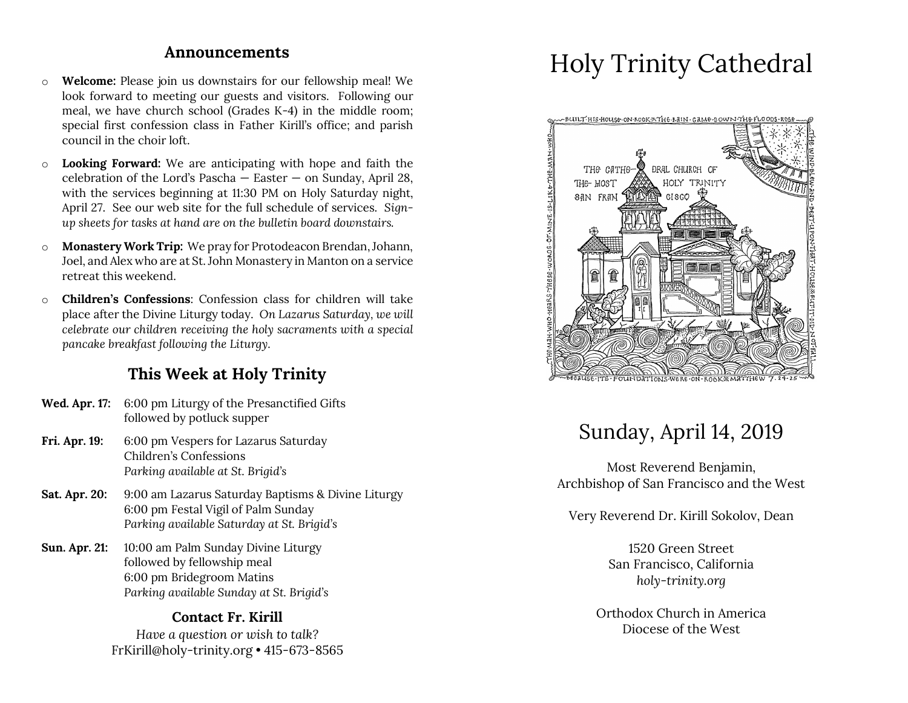### **Announcements**

- o **Welcome:** Please join us downstairs for our fellowship meal! We look forward to meeting our guests and visitors. Following our meal, we have church school (Grades K-4) in the middle room; special first confession class in Father Kirill's office; and parish council in the choir loft.
- o **Looking Forward:** We are anticipating with hope and faith the celebration of the Lord's Pascha  $-$  Easter  $-$  on Sunday, April 28, with the services beginning at 11:30 PM on Holy Saturday night, April 27. See our web site for the full schedule of services. *Signup sheets for tasks at hand are on the bulletin board downstairs.*
- o **Monastery Work Trip:** We pray for Protodeacon Brendan, Johann, Joel, and Alex who are at St. John Monastery in Manton on a service retreat this weekend.
- o **Children's Confessions**: Confession class for children will take place after the Divine Liturgy today. *On Lazarus Saturday, we will celebrate our children receiving the holy sacraments with a special pancake breakfast following the Liturgy.*

### **This Week at Holy Trinity**

- **Wed. Apr. 17:** 6:00 pm Liturgy of the Presanctified Gifts followed by potluck supper
- **Fri. Apr. 19:** 6:00 pm Vespers for Lazarus Saturday Children's Confessions *Parking available at St. Brigid's*
- **Sat. Apr. 20:** 9:00 am Lazarus Saturday Baptisms & Divine Liturgy 6:00 pm Festal Vigil of Palm Sunday *Parking available Saturday at St. Brigid's*
- **Sun. Apr. 21:** 10:00 am Palm Sunday Divine Liturgy followed by fellowship meal 6:00 pm Bridegroom Matins *Parking available Sunday at St. Brigid's*

### **Contact Fr. Kirill**

*Have a question or wish to talk?* FrKirill@holy-trinity.org • 415-673-8565

# Holy Trinity Cathedral



## Sunday, April 14, 2019

Most Reverend Benjamin, Archbishop of San Francisco and the West

Very Reverend Dr. Kirill Sokolov, Dean

1520 Green Street San Francisco, California *holy-trinity.org*

Orthodox Church in America Diocese of the West